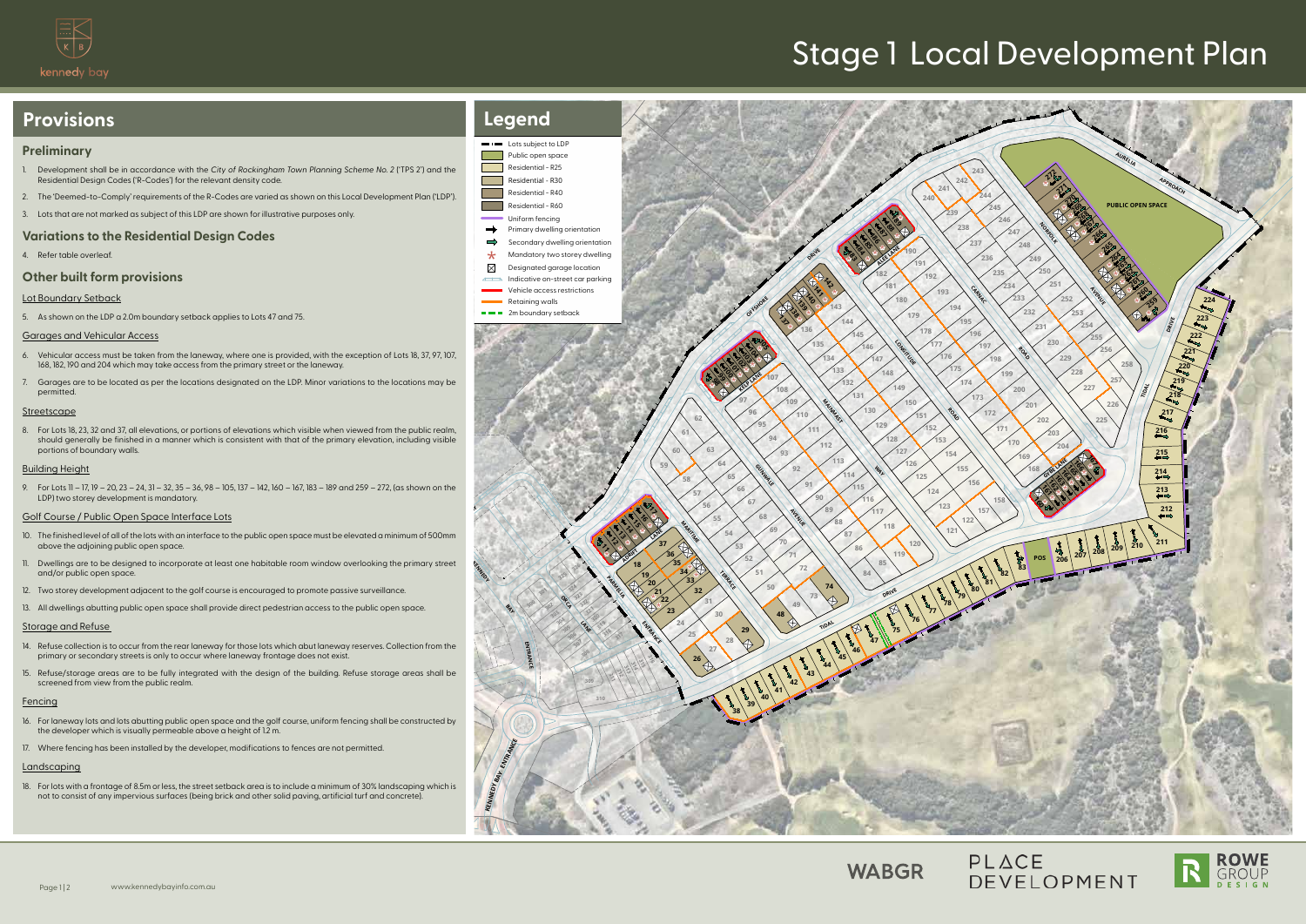\* \* \* \* \*

\*

**PARMELIA ENTRANCE**<br>PARMELIA ENTRANCE

\***732 50 8 88** 

रू<br>|<br>र **各 その** 

**OFFICE ASSESSMENT PROPERTY** 

\* \* \* \* \* \* \* \*

\*

)<br>#93

\* \* \* \* \*

\*

 ب<br>اچ  $\frac{\omega}{2}$ 

\*

\* \* \* \* \* \*

\*

\*

 $\frac{1}{2}$  <u>१५</u> 

**ORCA STANK** 

**KENNEDYBAY**

**KENNEDY BAY** 

**ENTRANCE**

**ENTRANCE** 

 

> 

 

> 

 

**TIDAL AND SPRING** 

**MANUS (130)**<br>112<br>113<br>114<br>114

**Gunda Range Avenue** 

 **109 99 99 99 99 99 10)** 

**KELP LANE** 

   



# PLACE DEVELOPMENT





**LONGITUDE ROAD 177** 

 

- 6. Vehicular access must be taken from the laneway, where one is provided, with the exception of Lots 18, 37, 97, 107, 168, 182, 190 and 204 which may take access from the primary street or the laneway.
- 7. Garages are to be located as per the locations designated on the LDP. Minor variations to the locations may be permitted

#### **Streetscape**

**ADRIFT ADRIFT** 

**ALEE LANE** 



 

   

**MARITIME TERRACE** 



# Stage 1 Local Development Plan

## **Preliminary**

- **با**<br>|-<br>| pdf 500mm 10. The finished level of all of the lots with an interface to the public open space must be elevated a minimum of 500mm above the adjoining public open space.
- 11. Dwellings are to be designed to incorporate at least one habitable room window overlooking the primary street and/or public open space.
- 12. Two storey development adjacent to the golf course is encouraged to promote passive surveillance.
- 13. All dwellings abutting public open space shall provide direct pedestrian access to the public open space.

- 14. Refuse collection is to occur from the rear laneway for those lots which abut laneway reserves. Collection from the primary or secondary streets is only to occur where laneway frontage does not exist.
- 15. Refuse/storage areas are to be fully integrated with the design of the building. Refuse storage areas shall be screened from view from the public realm

## **Fencing**

- 1. Development shall be in accordance with the *City of Rockingham Town Planning Scheme No. 2* ('TPS 2') and the Residential Design Codes ('R-Codes') for the relevant density code.
- 2. The 'Deemed-to-Comply' requirements of the R-Codes are varied as shown on this Local Development Plan ('LDP').
- 3. Lots that are not marked as subject of this LDP are shown for illustrative purposes only.

## **Variations to the Residential Design Codes**

4. Refer table overleaf.

# **Other built form provisions**

#### Lot Boundary Setback

5. As shown on the LDP a 2.0m boundary setback applies to Lots 47 and 75.

## Garages and Vehicular Access

8. For Lots 18, 23, 32 and 37, all elevations, or portions of elevations which visible when viewed from the public realm, should generally be finished in a manner which is consistent with that of the primary elevation, including visible portions of boundary walls.

#### Building Height

9. For Lots 11 – 17, 19 – 20, 23 – 24, 31 – 32, 35 – 36, 98 – 105, 137 – 142, 160 – 167, 183 – 189 and 259 – 272, (as shown on the LDP) two storey development is mandatory.

#### Golf Course / Public Open Space Interface Lots

#### Storage and Refuse

- 16. For laneway lots and lots abutting public open space and the golf course, uniform fencing shall be constructed by the developer which is visually permeable above a height of 1.2 m.
- 17. Where fencing has been installed by the developer, modifications to fences are not permitted.

## Landscaping

18. For lots with a frontage of 8.5m or less, the street setback area is to include a minimum of 30% landscaping which is not to consist of any impervious surfaces (being brick and other solid paving, artificial turf and concrete).

# **Provisions**



\*